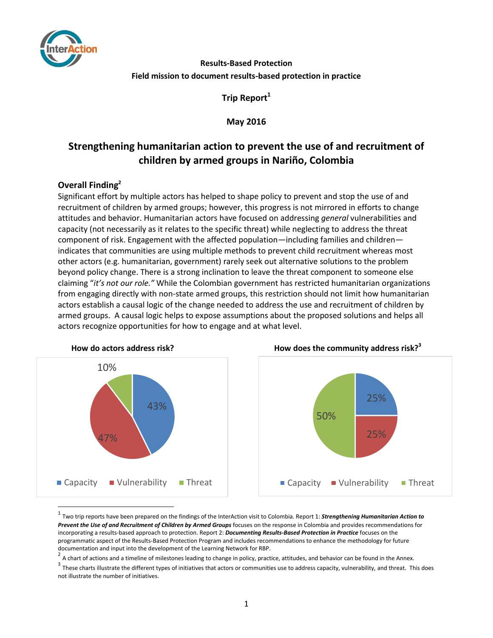

### **Results-Based Protection Field mission to document results-based protection in practice**

**Trip Report<sup>1</sup>**

**May 2016**

## **Strengthening humanitarian action to prevent the use of and recruitment of children by armed groups in Nariño, Colombia**

### **Overall Finding<sup>2</sup>**

Significant effort by multiple actors has helped to shape policy to prevent and stop the use of and recruitment of children by armed groups; however, this progress is not mirrored in efforts to change attitudes and behavior. Humanitarian actors have focused on addressing *general* vulnerabilities and capacity (not necessarily as it relates to the specific threat) while neglecting to address the threat component of risk. Engagement with the affected population—including families and children indicates that communities are using multiple methods to prevent child recruitment whereas most other actors (e.g. humanitarian, government) rarely seek out alternative solutions to the problem beyond policy change. There is a strong inclination to leave the threat component to someone else claiming "*it's not our role."* While the Colombian government has restricted humanitarian organizations from engaging directly with non-state armed groups, this restriction should not limit how humanitarian actors establish a causal logic of the change needed to address the use and recruitment of children by armed groups. A causal logic helps to expose assumptions about the proposed solutions and helps all actors recognize opportunities for how to engage and at what level.



 $\overline{\phantom{a}}$ 





<sup>1</sup> Two trip reports have been prepared on the findings of the InterAction visit to Colombia. Report 1: *Strengthening Humanitarian Action to*  Prevent the Use of and Recruitment of Children by Armed Groups focuses on the response in Colombia and provides recommendations for incorporating a results-based approach to protection. Report 2: *Documenting Results-Based Protection in Practice* focuses on the programmatic aspect of the Results-Based Protection Program and includes recommendations to enhance the methodology for future documentation and input into the development of the Learning Network for RBP.

<sup>2</sup> A chart of actions and a timeline of milestones leading to change in policy, practice, attitudes, and behavior can be found in the Annex.

 $^3$  These charts illustrate the different types of initiatives that actors or communities use to address capacity, vulnerability, and threat. This does not illustrate the number of initiatives.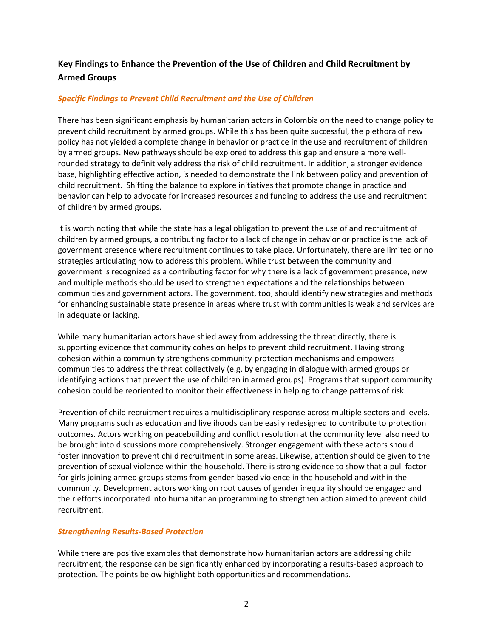### **Key Findings to Enhance the Prevention of the Use of Children and Child Recruitment by Armed Groups**

### *Specific Findings to Prevent Child Recruitment and the Use of Children*

There has been significant emphasis by humanitarian actors in Colombia on the need to change policy to prevent child recruitment by armed groups. While this has been quite successful, the plethora of new policy has not yielded a complete change in behavior or practice in the use and recruitment of children by armed groups. New pathways should be explored to address this gap and ensure a more wellrounded strategy to definitively address the risk of child recruitment. In addition, a stronger evidence base, highlighting effective action, is needed to demonstrate the link between policy and prevention of child recruitment. Shifting the balance to explore initiatives that promote change in practice and behavior can help to advocate for increased resources and funding to address the use and recruitment of children by armed groups.

It is worth noting that while the state has a legal obligation to prevent the use of and recruitment of children by armed groups, a contributing factor to a lack of change in behavior or practice is the lack of government presence where recruitment continues to take place. Unfortunately, there are limited or no strategies articulating how to address this problem. While trust between the community and government is recognized as a contributing factor for why there is a lack of government presence, new and multiple methods should be used to strengthen expectations and the relationships between communities and government actors. The government, too, should identify new strategies and methods for enhancing sustainable state presence in areas where trust with communities is weak and services are in adequate or lacking.

While many humanitarian actors have shied away from addressing the threat directly, there is supporting evidence that community cohesion helps to prevent child recruitment. Having strong cohesion within a community strengthens community-protection mechanisms and empowers communities to address the threat collectively (e.g. by engaging in dialogue with armed groups or identifying actions that prevent the use of children in armed groups). Programs that support community cohesion could be reoriented to monitor their effectiveness in helping to change patterns of risk.

Prevention of child recruitment requires a multidisciplinary response across multiple sectors and levels. Many programs such as education and livelihoods can be easily redesigned to contribute to protection outcomes. Actors working on peacebuilding and conflict resolution at the community level also need to be brought into discussions more comprehensively. Stronger engagement with these actors should foster innovation to prevent child recruitment in some areas. Likewise, attention should be given to the prevention of sexual violence within the household. There is strong evidence to show that a pull factor for girls joining armed groups stems from gender-based violence in the household and within the community. Development actors working on root causes of gender inequality should be engaged and their efforts incorporated into humanitarian programming to strengthen action aimed to prevent child recruitment.

### *Strengthening Results-Based Protection*

While there are positive examples that demonstrate how humanitarian actors are addressing child recruitment, the response can be significantly enhanced by incorporating a results-based approach to protection. The points below highlight both opportunities and recommendations.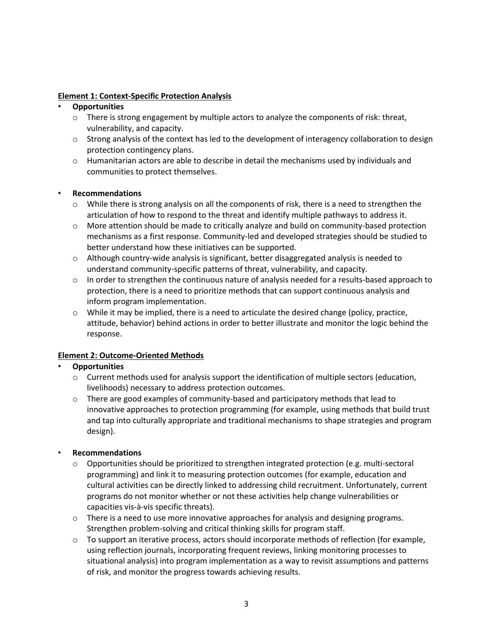### **Element 1: Context-Specific Protection Analysis**

### • **Opportunities**

- $\circ$  There is strong engagement by multiple actors to analyze the components of risk: threat, vulnerability, and capacity.
- $\circ$  Strong analysis of the context has led to the development of interagency collaboration to design protection contingency plans.
- $\circ$  Humanitarian actors are able to describe in detail the mechanisms used by individuals and communities to protect themselves.

### • **Recommendations**

- $\circ$  While there is strong analysis on all the components of risk, there is a need to strengthen the articulation of how to respond to the threat and identify multiple pathways to address it.
- $\circ$  More attention should be made to critically analyze and build on community-based protection mechanisms as a first response. Community-led and developed strategies should be studied to better understand how these initiatives can be supported.
- $\circ$  Although country-wide analysis is significant, better disaggregated analysis is needed to understand community-specific patterns of threat, vulnerability, and capacity.
- $\circ$  In order to strengthen the continuous nature of analysis needed for a results-based approach to protection, there is a need to prioritize methods that can support continuous analysis and inform program implementation.
- $\circ$  While it may be implied, there is a need to articulate the desired change (policy, practice, attitude, behavior) behind actions in order to better illustrate and monitor the logic behind the response.

### **Element 2: Outcome-Oriented Methods**

### • **Opportunities**

- $\circ$  Current methods used for analysis support the identification of multiple sectors (education, livelihoods) necessary to address protection outcomes.
- $\circ$  There are good examples of community-based and participatory methods that lead to innovative approaches to protection programming (for example, using methods that build trust and tap into culturally appropriate and traditional mechanisms to shape strategies and program design).

### • **Recommendations**

- $\circ$  Opportunities should be prioritized to strengthen integrated protection (e.g. multi-sectoral programming) and link it to measuring protection outcomes (for example, education and cultural activities can be directly linked to addressing child recruitment. Unfortunately, current programs do not monitor whether or not these activities help change vulnerabilities or capacities vis-à-vis specific threats).
- $\circ$  There is a need to use more innovative approaches for analysis and designing programs. Strengthen problem-solving and critical thinking skills for program staff.
- $\circ$  To support an iterative process, actors should incorporate methods of reflection (for example, using reflection journals, incorporating frequent reviews, linking monitoring processes to situational analysis) into program implementation as a way to revisit assumptions and patterns of risk, and monitor the progress towards achieving results.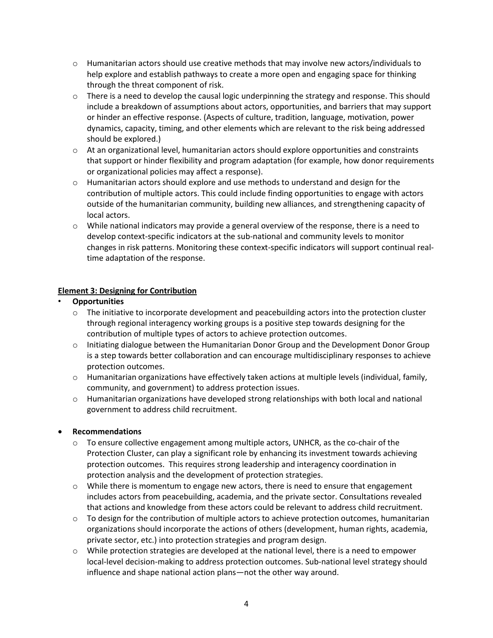- $\circ$  Humanitarian actors should use creative methods that may involve new actors/individuals to help explore and establish pathways to create a more open and engaging space for thinking through the threat component of risk.
- $\circ$  There is a need to develop the causal logic underpinning the strategy and response. This should include a breakdown of assumptions about actors, opportunities, and barriers that may support or hinder an effective response. (Aspects of culture, tradition, language, motivation, power dynamics, capacity, timing, and other elements which are relevant to the risk being addressed should be explored.)
- $\circ$  At an organizational level, humanitarian actors should explore opportunities and constraints that support or hinder flexibility and program adaptation (for example, how donor requirements or organizational policies may affect a response).
- $\circ$  Humanitarian actors should explore and use methods to understand and design for the contribution of multiple actors. This could include finding opportunities to engage with actors outside of the humanitarian community, building new alliances, and strengthening capacity of local actors.
- $\circ$  While national indicators may provide a general overview of the response, there is a need to develop context-specific indicators at the sub-national and community levels to monitor changes in risk patterns. Monitoring these context-specific indicators will support continual realtime adaptation of the response.

### **Element 3: Designing for Contribution**

- **Opportunities** 
	- $\circ$  The initiative to incorporate development and peacebuilding actors into the protection cluster through regional interagency working groups is a positive step towards designing for the contribution of multiple types of actors to achieve protection outcomes.
	- $\circ$  Initiating dialogue between the Humanitarian Donor Group and the Development Donor Group is a step towards better collaboration and can encourage multidisciplinary responses to achieve protection outcomes.
	- $\circ$  Humanitarian organizations have effectively taken actions at multiple levels (individual, family, community, and government) to address protection issues.
	- o Humanitarian organizations have developed strong relationships with both local and national government to address child recruitment.

### **Recommendations**

- $\circ$  To ensure collective engagement among multiple actors, UNHCR, as the co-chair of the Protection Cluster, can play a significant role by enhancing its investment towards achieving protection outcomes. This requires strong leadership and interagency coordination in protection analysis and the development of protection strategies.
- o While there is momentum to engage new actors, there is need to ensure that engagement includes actors from peacebuilding, academia, and the private sector. Consultations revealed that actions and knowledge from these actors could be relevant to address child recruitment.
- $\circ$  To design for the contribution of multiple actors to achieve protection outcomes, humanitarian organizations should incorporate the actions of others (development, human rights, academia, private sector, etc.) into protection strategies and program design.
- $\circ$  While protection strategies are developed at the national level, there is a need to empower local-level decision-making to address protection outcomes. Sub-national level strategy should influence and shape national action plans—not the other way around.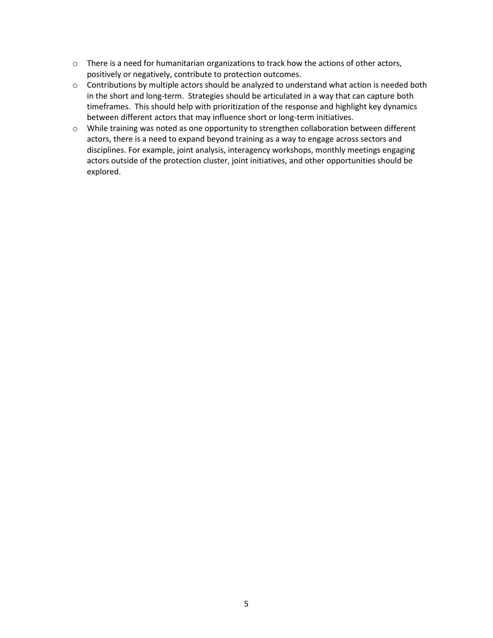- $\circ$  There is a need for humanitarian organizations to track how the actions of other actors, positively or negatively, contribute to protection outcomes.
- o Contributions by multiple actors should be analyzed to understand what action is needed both in the short and long-term. Strategies should be articulated in a way that can capture both timeframes. This should help with prioritization of the response and highlight key dynamics between different actors that may influence short or long-term initiatives.
- o While training was noted as one opportunity to strengthen collaboration between different actors, there is a need to expand beyond training as a way to engage across sectors and disciplines. For example, joint analysis, interagency workshops, monthly meetings engaging actors outside of the protection cluster, joint initiatives, and other opportunities should be explored.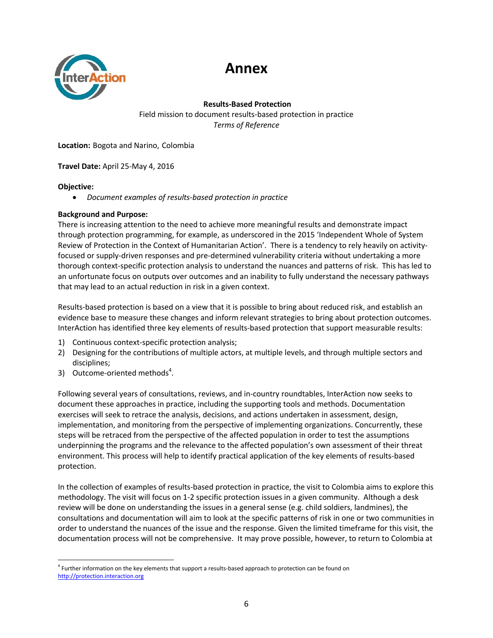# **Annex**



**Results-Based Protection**

Field mission to document results-based protection in practice *Terms of Reference*

**Location:** Bogota and Narino, Colombia

### **Travel Date:** April 25-May 4, 2016

### **Objective:**

*Document examples of results-based protection in practice* 

### **Background and Purpose:**

There is increasing attention to the need to achieve more meaningful results and demonstrate impact through protection programming, for example, as underscored in the 2015 'Independent Whole of System Review of Protection in the Context of Humanitarian Action'. There is a tendency to rely heavily on activityfocused or supply-driven responses and pre-determined vulnerability criteria without undertaking a more thorough context-specific protection analysis to understand the nuances and patterns of risk. This has led to an unfortunate focus on outputs over outcomes and an inability to fully understand the necessary pathways that may lead to an actual reduction in risk in a given context.

Results-based protection is based on a view that it is possible to bring about reduced risk, and establish an evidence base to measure these changes and inform relevant strategies to bring about protection outcomes. InterAction has identified three key elements of results-based protection that support measurable results:

- 1) Continuous context-specific protection analysis;
- 2) Designing for the contributions of multiple actors, at multiple levels, and through multiple sectors and disciplines;
- 3) Outcome-oriented methods<sup>4</sup>.

Following several years of consultations, reviews, and in-country roundtables, InterAction now seeks to document these approaches in practice, including the supporting tools and methods. Documentation exercises will seek to retrace the analysis, decisions, and actions undertaken in assessment, design, implementation, and monitoring from the perspective of implementing organizations. Concurrently, these steps will be retraced from the perspective of the affected population in order to test the assumptions underpinning the programs and the relevance to the affected population's own assessment of their threat environment. This process will help to identify practical application of the key elements of results-based protection.

In the collection of examples of results-based protection in practice, the visit to Colombia aims to explore this methodology. The visit will focus on 1-2 specific protection issues in a given community. Although a desk review will be done on understanding the issues in a general sense (e.g. child soldiers, landmines), the consultations and documentation will aim to look at the specific patterns of risk in one or two communities in order to understand the nuances of the issue and the response. Given the limited timeframe for this visit, the documentation process will not be comprehensive. It may prove possible, however, to return to Colombia at

 $\overline{a}$ 4 Further information on the key elements that support a results-based approach to protection can be found on [http://protection.interaction.org](http://protection.interaction.org/)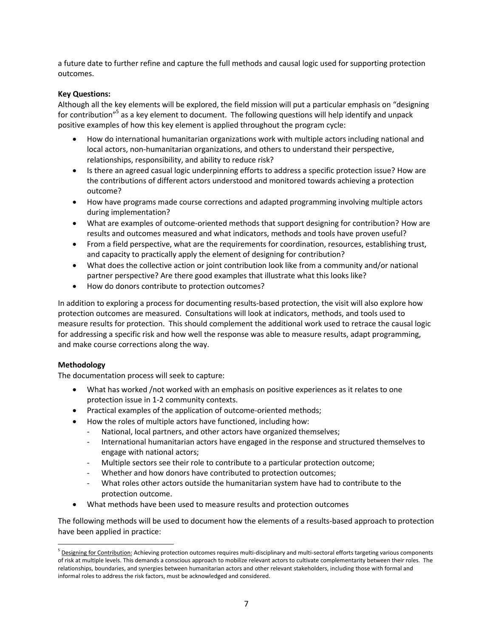a future date to further refine and capture the full methods and causal logic used for supporting protection outcomes.

### **Key Questions:**

Although all the key elements will be explored, the field mission will put a particular emphasis on "designing for contribution"<sup>5</sup> as a key element to document. The following questions will help identify and unpack positive examples of how this key element is applied throughout the program cycle:

- How do international humanitarian organizations work with multiple actors including national and local actors, non-humanitarian organizations, and others to understand their perspective, relationships, responsibility, and ability to reduce risk?
- Is there an agreed casual logic underpinning efforts to address a specific protection issue? How are the contributions of different actors understood and monitored towards achieving a protection outcome?
- How have programs made course corrections and adapted programming involving multiple actors during implementation?
- What are examples of outcome-oriented methods that support designing for contribution? How are results and outcomes measured and what indicators, methods and tools have proven useful?
- From a field perspective, what are the requirements for coordination, resources, establishing trust, and capacity to practically apply the element of designing for contribution?
- What does the collective action or joint contribution look like from a community and/or national partner perspective? Are there good examples that illustrate what this looks like?
- How do donors contribute to protection outcomes?

In addition to exploring a process for documenting results-based protection, the visit will also explore how protection outcomes are measured. Consultations will look at indicators, methods, and tools used to measure results for protection. This should complement the additional work used to retrace the causal logic for addressing a specific risk and how well the response was able to measure results, adapt programming, and make course corrections along the way.

### **Methodology**

l

The documentation process will seek to capture:

- What has worked /not worked with an emphasis on positive experiences as it relates to one protection issue in 1-2 community contexts.
- Practical examples of the application of outcome-oriented methods;
- How the roles of multiple actors have functioned, including how:
	- National, local partners, and other actors have organized themselves;
	- International humanitarian actors have engaged in the response and structured themselves to engage with national actors;
	- Multiple sectors see their role to contribute to a particular protection outcome;
	- Whether and how donors have contributed to protection outcomes;
	- What roles other actors outside the humanitarian system have had to contribute to the protection outcome.
- What methods have been used to measure results and protection outcomes

The following methods will be used to document how the elements of a results-based approach to protection have been applied in practice:

<sup>&</sup>lt;sup>5</sup> Designing for Contribution: Achieving protection outcomes requires multi-disciplinary and multi-sectoral efforts targeting various components of risk at multiple levels. This demands a conscious approach to mobilize relevant actors to cultivate complementarity between their roles. The relationships, boundaries, and synergies between humanitarian actors and other relevant stakeholders, including those with formal and informal roles to address the risk factors, must be acknowledged and considered.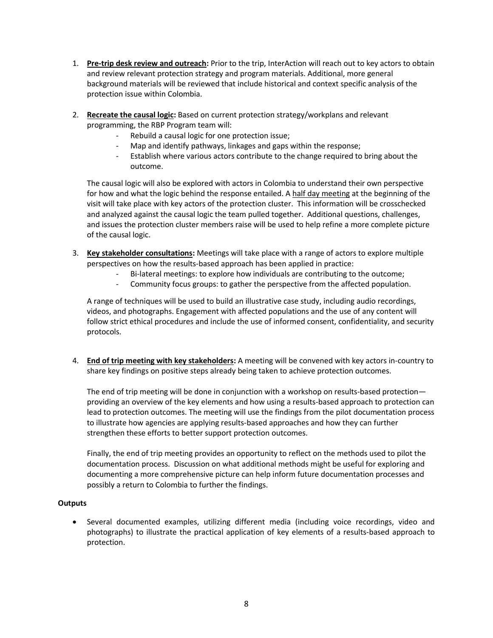- 1. **Pre-trip desk review and outreach:** Prior to the trip, InterAction will reach out to key actors to obtain and review relevant protection strategy and program materials. Additional, more general background materials will be reviewed that include historical and context specific analysis of the protection issue within Colombia.
- 2. **Recreate the causal logic:** Based on current protection strategy/workplans and relevant programming, the RBP Program team will:
	- Rebuild a causal logic for one protection issue;
	- Map and identify pathways, linkages and gaps within the response;
	- Establish where various actors contribute to the change required to bring about the outcome.

The causal logic will also be explored with actors in Colombia to understand their own perspective for how and what the logic behind the response entailed. A half day meeting at the beginning of the visit will take place with key actors of the protection cluster. This information will be crosschecked and analyzed against the causal logic the team pulled together. Additional questions, challenges, and issues the protection cluster members raise will be used to help refine a more complete picture of the causal logic.

- 3. **Key stakeholder consultations:** Meetings will take place with a range of actors to explore multiple perspectives on how the results-based approach has been applied in practice:
	- Bi-lateral meetings: to explore how individuals are contributing to the outcome;
	- Community focus groups: to gather the perspective from the affected population.

A range of techniques will be used to build an illustrative case study, including audio recordings, videos, and photographs. Engagement with affected populations and the use of any content will follow strict ethical procedures and include the use of informed consent, confidentiality, and security protocols.

4. **End of trip meeting with key stakeholders:** A meeting will be convened with key actors in-country to share key findings on positive steps already being taken to achieve protection outcomes.

The end of trip meeting will be done in conjunction with a workshop on results-based protection providing an overview of the key elements and how using a results-based approach to protection can lead to protection outcomes. The meeting will use the findings from the pilot documentation process to illustrate how agencies are applying results-based approaches and how they can further strengthen these efforts to better support protection outcomes.

Finally, the end of trip meeting provides an opportunity to reflect on the methods used to pilot the documentation process. Discussion on what additional methods might be useful for exploring and documenting a more comprehensive picture can help inform future documentation processes and possibly a return to Colombia to further the findings.

### **Outputs**

 Several documented examples, utilizing different media (including voice recordings, video and photographs) to illustrate the practical application of key elements of a results-based approach to protection.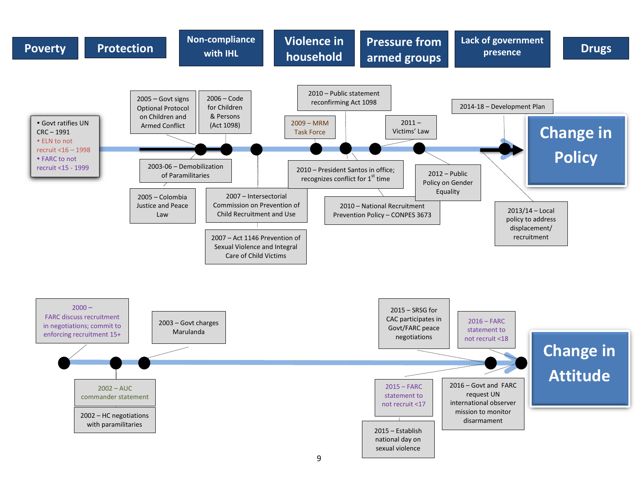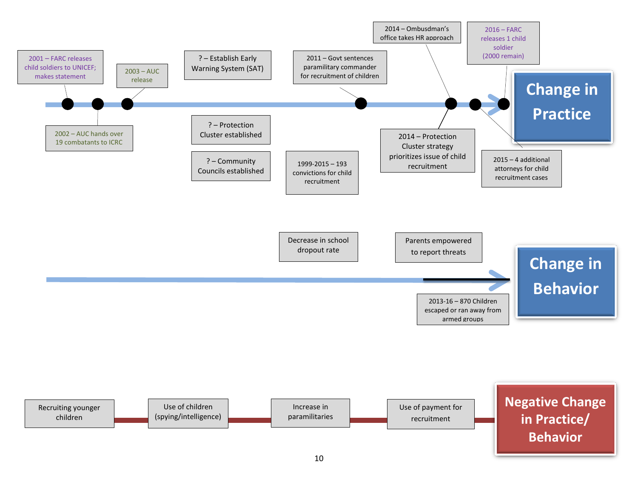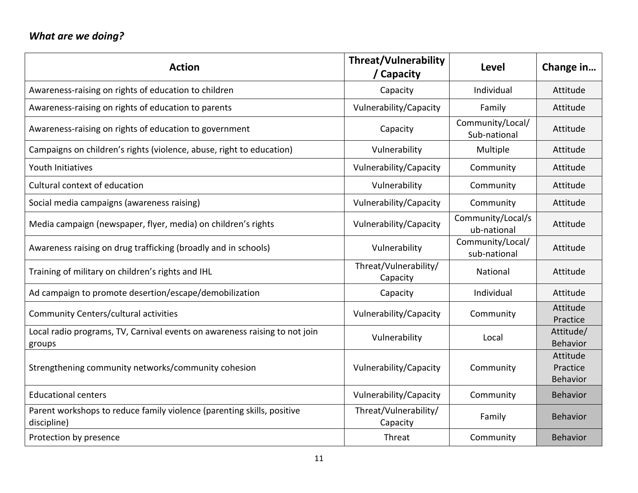# *What are we doing?*

| <b>Action</b>                                                                         | <b>Threat/Vulnerability</b><br>Capacity | Level                            | Change in                        |
|---------------------------------------------------------------------------------------|-----------------------------------------|----------------------------------|----------------------------------|
| Awareness-raising on rights of education to children                                  | Capacity                                | Individual                       | Attitude                         |
| Awareness-raising on rights of education to parents                                   | Vulnerability/Capacity                  | Family                           | Attitude                         |
| Awareness-raising on rights of education to government                                | Capacity                                | Community/Local/<br>Sub-national | Attitude                         |
| Campaigns on children's rights (violence, abuse, right to education)                  | Vulnerability                           | Multiple                         | Attitude                         |
| Youth Initiatives                                                                     | Vulnerability/Capacity                  | Community                        | Attitude                         |
| Cultural context of education                                                         | Vulnerability                           | Community                        | Attitude                         |
| Social media campaigns (awareness raising)                                            | Vulnerability/Capacity                  | Community                        | Attitude                         |
| Media campaign (newspaper, flyer, media) on children's rights                         | Vulnerability/Capacity                  | Community/Local/s<br>ub-national | Attitude                         |
| Awareness raising on drug trafficking (broadly and in schools)                        | Vulnerability                           | Community/Local/<br>sub-national | Attitude                         |
| Training of military on children's rights and IHL                                     | Threat/Vulnerability/<br>Capacity       | National                         | Attitude                         |
| Ad campaign to promote desertion/escape/demobilization                                | Capacity                                | Individual                       | Attitude                         |
| Community Centers/cultural activities                                                 | Vulnerability/Capacity                  | Community                        | Attitude<br>Practice             |
| Local radio programs, TV, Carnival events on awareness raising to not join<br>groups  | Vulnerability                           | Local                            | Attitude/<br>Behavior            |
| Strengthening community networks/community cohesion                                   | Vulnerability/Capacity                  | Community                        | Attitude<br>Practice<br>Behavior |
| <b>Educational centers</b>                                                            | Vulnerability/Capacity                  | Community                        | <b>Behavior</b>                  |
| Parent workshops to reduce family violence (parenting skills, positive<br>discipline) | Threat/Vulnerability/<br>Capacity       | Family                           | <b>Behavior</b>                  |
| Protection by presence                                                                | Threat                                  | Community                        | <b>Behavior</b>                  |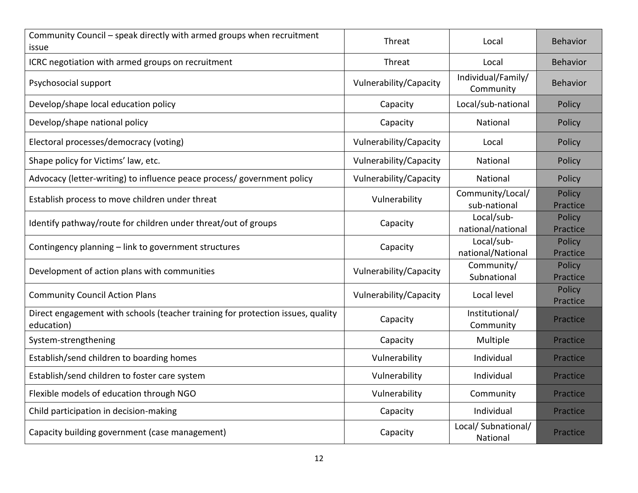| Community Council - speak directly with armed groups when recruitment<br>issue                | Threat                 | Local                            | Behavior                  |
|-----------------------------------------------------------------------------------------------|------------------------|----------------------------------|---------------------------|
| ICRC negotiation with armed groups on recruitment                                             | Threat                 | Local                            | Behavior                  |
| Psychosocial support                                                                          | Vulnerability/Capacity | Individual/Family/<br>Community  | <b>Behavior</b>           |
| Develop/shape local education policy                                                          | Capacity               | Local/sub-national               | Policy                    |
| Develop/shape national policy                                                                 | Capacity               | National                         | Policy                    |
| Electoral processes/democracy (voting)                                                        | Vulnerability/Capacity | Local                            | Policy                    |
| Shape policy for Victims' law, etc.                                                           | Vulnerability/Capacity | National                         | Policy                    |
| Advocacy (letter-writing) to influence peace process/ government policy                       | Vulnerability/Capacity | National                         | Policy                    |
| Establish process to move children under threat                                               | Vulnerability          | Community/Local/<br>sub-national | Policy<br>Practice        |
| Identify pathway/route for children under threat/out of groups                                | Capacity               | Local/sub-<br>national/national  | <b>Policy</b><br>Practice |
| Contingency planning - link to government structures                                          | Capacity               | Local/sub-<br>national/National  | Policy<br>Practice        |
| Development of action plans with communities                                                  | Vulnerability/Capacity | Community/<br>Subnational        | Policy<br>Practice        |
| <b>Community Council Action Plans</b>                                                         | Vulnerability/Capacity | Local level                      | Policy<br>Practice        |
| Direct engagement with schools (teacher training for protection issues, quality<br>education) | Capacity               | Institutional/<br>Community      | Practice                  |
| System-strengthening                                                                          | Capacity               | Multiple                         | Practice                  |
| Establish/send children to boarding homes                                                     | Vulnerability          | Individual                       | Practice                  |
| Establish/send children to foster care system                                                 | Vulnerability          | Individual                       | Practice                  |
| Flexible models of education through NGO                                                      | Vulnerability          | Community                        | Practice                  |
| Child participation in decision-making                                                        | Capacity               | Individual                       | Practice                  |
| Capacity building government (case management)                                                | Capacity               | Local/ Subnational/<br>National  | Practice                  |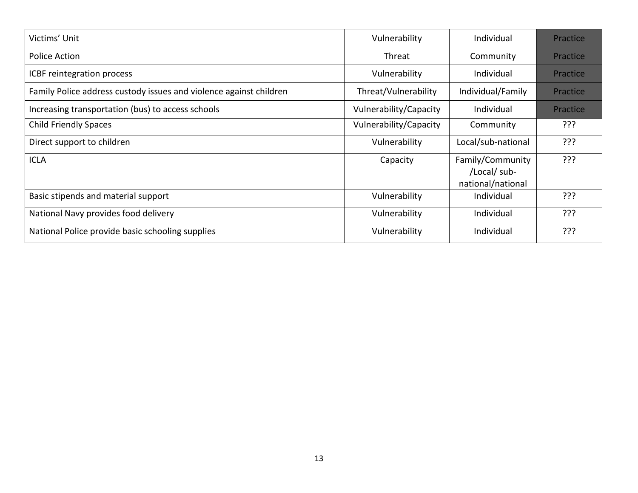| Victims' Unit                                                      | Vulnerability          | Individual                                            | Practice |
|--------------------------------------------------------------------|------------------------|-------------------------------------------------------|----------|
| Police Action                                                      | Threat                 | Community                                             | Practice |
| ICBF reintegration process                                         | Vulnerability          | Individual                                            | Practice |
| Family Police address custody issues and violence against children | Threat/Vulnerability   | Individual/Family                                     | Practice |
| Increasing transportation (bus) to access schools                  | Vulnerability/Capacity | Individual                                            | Practice |
| <b>Child Friendly Spaces</b>                                       | Vulnerability/Capacity | Community                                             | ???      |
| Direct support to children                                         | Vulnerability          | Local/sub-national                                    | ???      |
| <b>ICLA</b>                                                        | Capacity               | Family/Community<br>/Local/ sub-<br>national/national | ???      |
| Basic stipends and material support                                | Vulnerability          | Individual                                            | ???      |
| National Navy provides food delivery                               | Vulnerability          | Individual                                            | ???      |
| National Police provide basic schooling supplies                   | Vulnerability          | Individual                                            | ???      |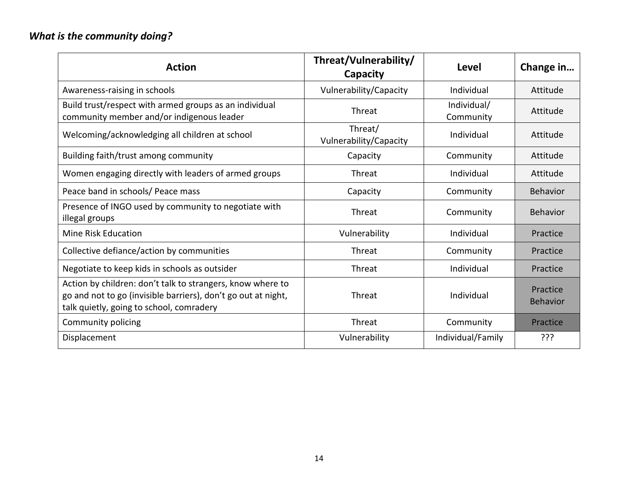# *What is the community doing?*

| <b>Action</b>                                                                                                                                                           | Threat/Vulnerability/<br>Capacity | Level                    | Change in                   |
|-------------------------------------------------------------------------------------------------------------------------------------------------------------------------|-----------------------------------|--------------------------|-----------------------------|
| Awareness-raising in schools                                                                                                                                            | Vulnerability/Capacity            | Individual               | Attitude                    |
| Build trust/respect with armed groups as an individual<br>community member and/or indigenous leader                                                                     | Threat                            | Individual/<br>Community | Attitude                    |
| Welcoming/acknowledging all children at school                                                                                                                          | Threat/<br>Vulnerability/Capacity | Individual               | Attitude                    |
| Building faith/trust among community                                                                                                                                    | Capacity                          | Community                | Attitude                    |
| Women engaging directly with leaders of armed groups                                                                                                                    | Threat                            | Individual               | Attitude                    |
| Peace band in schools/ Peace mass                                                                                                                                       | Capacity                          | Community                | <b>Behavior</b>             |
| Presence of INGO used by community to negotiate with<br>illegal groups                                                                                                  | Threat                            | Community                | <b>Behavior</b>             |
| <b>Mine Risk Education</b>                                                                                                                                              | Vulnerability                     | Individual               | Practice                    |
| Collective defiance/action by communities                                                                                                                               | Threat                            | Community                | Practice                    |
| Negotiate to keep kids in schools as outsider                                                                                                                           | Threat                            | Individual               | Practice                    |
| Action by children: don't talk to strangers, know where to<br>go and not to go (invisible barriers), don't go out at night,<br>talk quietly, going to school, comradery | Threat                            | Individual               | Practice<br><b>Behavior</b> |
| Community policing                                                                                                                                                      | Threat                            | Community                | Practice                    |
| Displacement                                                                                                                                                            | Vulnerability                     | Individual/Family        | ???                         |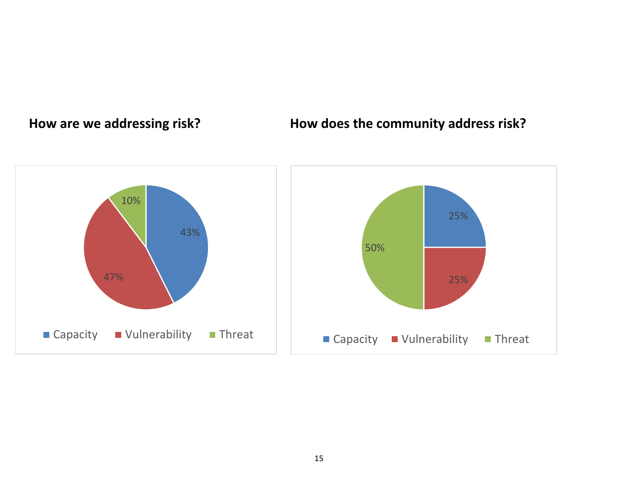# **How are we addressing risk? How does the community address risk?**

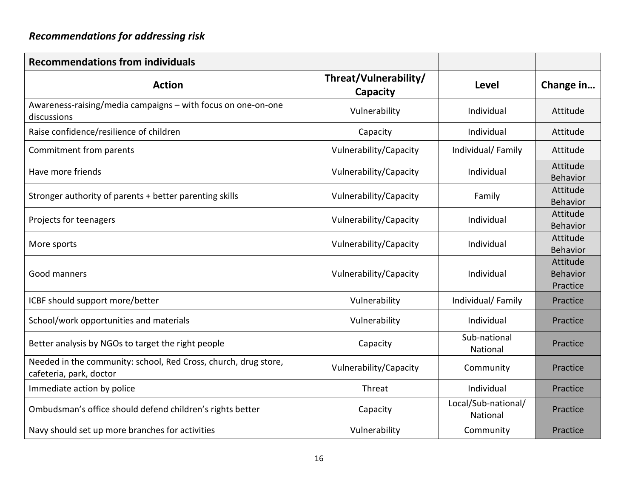# *Recommendations for addressing risk*

| <b>Recommendations from individuals</b>                                                    |                                   |                                 |                                         |
|--------------------------------------------------------------------------------------------|-----------------------------------|---------------------------------|-----------------------------------------|
| <b>Action</b>                                                                              | Threat/Vulnerability/<br>Capacity | <b>Level</b>                    | Change in                               |
| Awareness-raising/media campaigns - with focus on one-on-one<br>discussions                | Vulnerability                     | Individual                      | Attitude                                |
| Raise confidence/resilience of children                                                    | Capacity                          | Individual                      | Attitude                                |
| Commitment from parents                                                                    | Vulnerability/Capacity            | Individual/Family               | Attitude                                |
| Have more friends                                                                          | Vulnerability/Capacity            | Individual                      | Attitude<br>Behavior                    |
| Stronger authority of parents + better parenting skills                                    | Vulnerability/Capacity            | Family                          | Attitude<br>Behavior                    |
| Projects for teenagers                                                                     | Vulnerability/Capacity            | Individual                      | Attitude<br>Behavior                    |
| More sports                                                                                | Vulnerability/Capacity            | Individual                      | Attitude<br>Behavior                    |
| Good manners                                                                               | Vulnerability/Capacity            | Individual                      | Attitude<br><b>Behavior</b><br>Practice |
| ICBF should support more/better                                                            | Vulnerability                     | Individual/Family               | Practice                                |
| School/work opportunities and materials                                                    | Vulnerability                     | Individual                      | Practice                                |
| Better analysis by NGOs to target the right people                                         | Capacity                          | Sub-national<br>National        | Practice                                |
| Needed in the community: school, Red Cross, church, drug store,<br>cafeteria, park, doctor | Vulnerability/Capacity            | Community                       | Practice                                |
| Immediate action by police                                                                 | Threat                            | Individual                      | Practice                                |
| Ombudsman's office should defend children's rights better                                  | Capacity                          | Local/Sub-national/<br>National | Practice                                |
| Navy should set up more branches for activities                                            | Vulnerability                     | Community                       | Practice                                |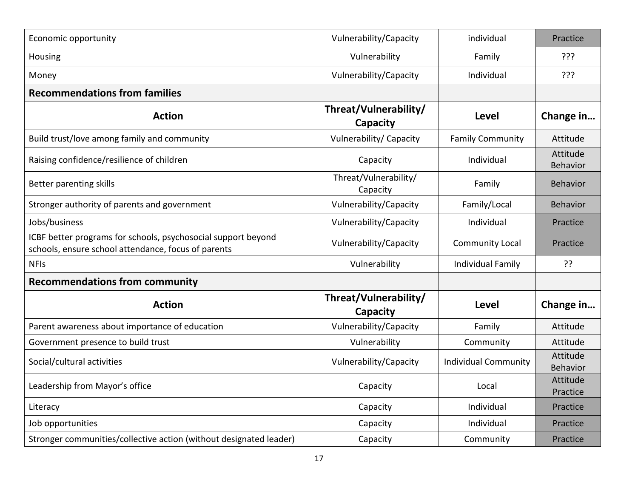| Economic opportunity                                                                                                 | Vulnerability/Capacity            | individual                  | Practice             |
|----------------------------------------------------------------------------------------------------------------------|-----------------------------------|-----------------------------|----------------------|
| Housing                                                                                                              | Vulnerability                     | Family                      | ???                  |
| Money                                                                                                                | Vulnerability/Capacity            | Individual                  | ???                  |
| <b>Recommendations from families</b>                                                                                 |                                   |                             |                      |
| <b>Action</b>                                                                                                        | Threat/Vulnerability/<br>Capacity | Level                       | Change in            |
| Build trust/love among family and community                                                                          | Vulnerability/ Capacity           | <b>Family Community</b>     | Attitude             |
| Raising confidence/resilience of children                                                                            | Capacity                          | Individual                  | Attitude<br>Behavior |
| Better parenting skills                                                                                              | Threat/Vulnerability/<br>Capacity | Family                      | Behavior             |
| Stronger authority of parents and government                                                                         | Vulnerability/Capacity            | Family/Local                | <b>Behavior</b>      |
| Jobs/business                                                                                                        | Vulnerability/Capacity            | Individual                  | Practice             |
| ICBF better programs for schools, psychosocial support beyond<br>schools, ensure school attendance, focus of parents | Vulnerability/Capacity            | <b>Community Local</b>      | Practice             |
| <b>NFIS</b>                                                                                                          | Vulnerability                     | Individual Family           | ??                   |
| <b>Recommendations from community</b>                                                                                |                                   |                             |                      |
| <b>Action</b>                                                                                                        | Threat/Vulnerability/<br>Capacity | <b>Level</b>                | Change in            |
| Parent awareness about importance of education                                                                       | Vulnerability/Capacity            | Family                      | Attitude             |
| Government presence to build trust                                                                                   | Vulnerability                     | Community                   | Attitude             |
| Social/cultural activities                                                                                           | Vulnerability/Capacity            | <b>Individual Community</b> | Attitude<br>Behavior |
| Leadership from Mayor's office                                                                                       | Capacity                          | Local                       | Attitude<br>Practice |
| Literacy                                                                                                             | Capacity                          | Individual                  | Practice             |
| Job opportunities                                                                                                    | Capacity                          | Individual                  | Practice             |
| Stronger communities/collective action (without designated leader)                                                   | Capacity                          | Community                   | Practice             |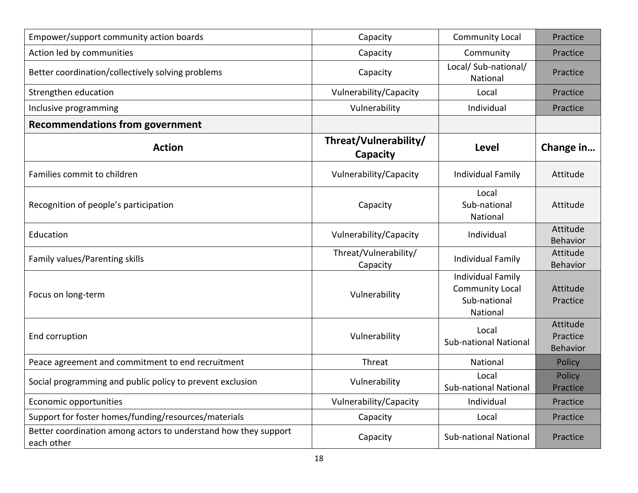| Empower/support community action boards                                       | Capacity                          | <b>Community Local</b>                                                         | Practice                                |
|-------------------------------------------------------------------------------|-----------------------------------|--------------------------------------------------------------------------------|-----------------------------------------|
| Action led by communities                                                     | Capacity                          | Community                                                                      | Practice                                |
| Better coordination/collectively solving problems                             | Capacity                          | Local/ Sub-national/<br>National                                               | Practice                                |
| Strengthen education                                                          | Vulnerability/Capacity            | Local                                                                          | Practice                                |
| Inclusive programming                                                         | Vulnerability                     | Individual                                                                     | Practice                                |
| <b>Recommendations from government</b>                                        |                                   |                                                                                |                                         |
| <b>Action</b>                                                                 | Threat/Vulnerability/<br>Capacity | <b>Level</b>                                                                   | Change in                               |
| Families commit to children                                                   | Vulnerability/Capacity            | Individual Family                                                              | Attitude                                |
| Recognition of people's participation                                         | Capacity                          | Local<br>Sub-national<br>National                                              | Attitude                                |
| Education                                                                     | Vulnerability/Capacity            | Individual                                                                     | Attitude<br>Behavior                    |
| Family values/Parenting skills                                                | Threat/Vulnerability/<br>Capacity | <b>Individual Family</b>                                                       | Attitude<br>Behavior                    |
| Focus on long-term                                                            | Vulnerability                     | <b>Individual Family</b><br><b>Community Local</b><br>Sub-national<br>National | Attitude<br>Practice                    |
| End corruption                                                                | Vulnerability                     | Local<br><b>Sub-national National</b>                                          | Attitude<br>Practice<br><b>Behavior</b> |
| Peace agreement and commitment to end recruitment                             | Threat                            | National                                                                       | Policy                                  |
| Social programming and public policy to prevent exclusion                     | Vulnerability                     | Local<br>Sub-national National                                                 | Policy<br>Practice                      |
| Economic opportunities                                                        | Vulnerability/Capacity            | Individual                                                                     | Practice                                |
| Support for foster homes/funding/resources/materials                          | Capacity                          | Local                                                                          | Practice                                |
| Better coordination among actors to understand how they support<br>each other | Capacity                          | <b>Sub-national National</b>                                                   | Practice                                |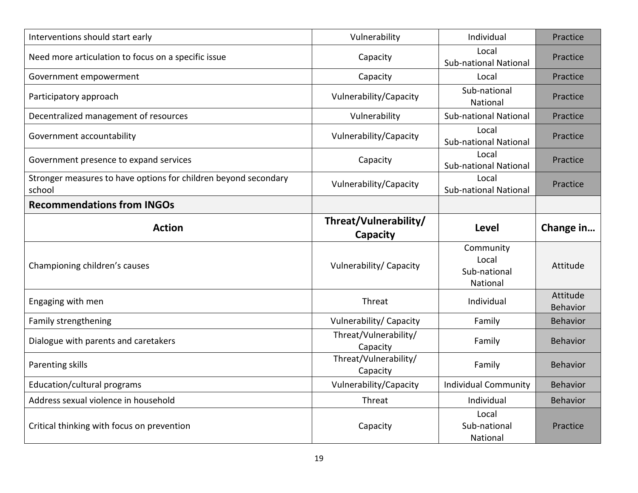| Interventions should start early                                          | Vulnerability                     | Individual                                     | Practice             |
|---------------------------------------------------------------------------|-----------------------------------|------------------------------------------------|----------------------|
| Need more articulation to focus on a specific issue                       | Capacity                          | Local<br><b>Sub-national National</b>          | Practice             |
| Government empowerment                                                    | Capacity                          | Local                                          | Practice             |
| Participatory approach                                                    | Vulnerability/Capacity            | Sub-national<br>National                       | Practice             |
| Decentralized management of resources                                     | Vulnerability                     | <b>Sub-national National</b>                   | Practice             |
| Government accountability                                                 | Vulnerability/Capacity            | Local<br><b>Sub-national National</b>          | Practice             |
| Government presence to expand services                                    | Capacity                          | Local<br><b>Sub-national National</b>          | Practice             |
| Stronger measures to have options for children beyond secondary<br>school | Vulnerability/Capacity            | Local<br><b>Sub-national National</b>          | Practice             |
| <b>Recommendations from INGOs</b>                                         |                                   |                                                |                      |
| <b>Action</b>                                                             | Threat/Vulnerability/<br>Capacity | Level                                          | Change in            |
| Championing children's causes                                             | Vulnerability/ Capacity           | Community<br>Local<br>Sub-national<br>National | Attitude             |
| Engaging with men                                                         | Threat                            | Individual                                     | Attitude<br>Behavior |
| Family strengthening                                                      | Vulnerability/ Capacity           | Family                                         | Behavior             |
| Dialogue with parents and caretakers                                      | Threat/Vulnerability/<br>Capacity | Family                                         | Behavior             |
| Parenting skills                                                          | Threat/Vulnerability/<br>Capacity | Family                                         | Behavior             |
| Education/cultural programs                                               | Vulnerability/Capacity            | <b>Individual Community</b>                    | Behavior             |
| Address sexual violence in household                                      | Threat                            | Individual                                     | Behavior             |
| Critical thinking with focus on prevention                                |                                   | Local                                          |                      |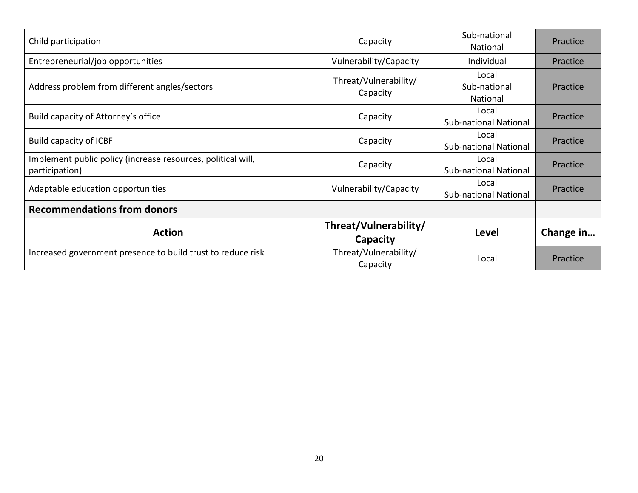| Child participation                                                            | Capacity                          | Sub-national<br>National              | Practice  |
|--------------------------------------------------------------------------------|-----------------------------------|---------------------------------------|-----------|
| Entrepreneurial/job opportunities                                              | Vulnerability/Capacity            | Individual                            | Practice  |
| Address problem from different angles/sectors                                  | Threat/Vulnerability/<br>Capacity | Local<br>Sub-national<br>National     | Practice  |
| Build capacity of Attorney's office                                            | Capacity                          | Local<br><b>Sub-national National</b> | Practice  |
| Build capacity of ICBF                                                         | Capacity                          | Local<br><b>Sub-national National</b> | Practice  |
| Implement public policy (increase resources, political will,<br>participation) | Capacity                          | Local<br><b>Sub-national National</b> | Practice  |
| Adaptable education opportunities                                              | Vulnerability/Capacity            | Local<br><b>Sub-national National</b> | Practice  |
| <b>Recommendations from donors</b>                                             |                                   |                                       |           |
| <b>Action</b>                                                                  | Threat/Vulnerability/<br>Capacity | Level                                 | Change in |
| Increased government presence to build trust to reduce risk                    | Threat/Vulnerability/<br>Capacity | Local                                 | Practice  |